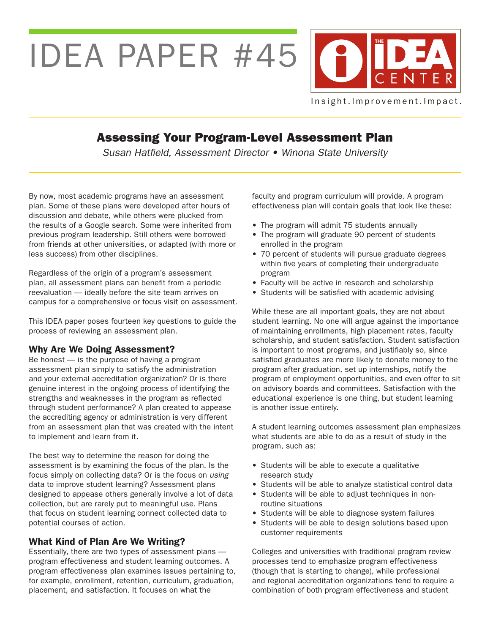IDEA PAPER #45



Insight. Improvement. Impact.

# Assessing Your Program-Level Assessment Plan

*Susan Hatfield, Assessment Director • Winona State University*

By now, most academic programs have an assessment plan. Some of these plans were developed after hours of discussion and debate, while others were plucked from the results of a Google search. Some were inherited from previous program leadership. Still others were borrowed from friends at other universities, or adapted (with more or less success) from other disciplines.

Regardless of the origin of a program's assessment plan, all assessment plans can benefit from a periodic reevaluation — ideally before the site team arrives on campus for a comprehensive or focus visit on assessment.

This IDEA paper poses fourteen key questions to guide the process of reviewing an assessment plan.

# Why Are We Doing Assessment?

Be honest — is the purpose of having a program assessment plan simply to satisfy the administration and your external accreditation organization? Or is there genuine interest in the ongoing process of identifying the strengths and weaknesses in the program as reflected through student performance? A plan created to appease the accrediting agency or administration is very different from an assessment plan that was created with the intent to implement and learn from it.

The best way to determine the reason for doing the assessment is by examining the focus of the plan. Is the focus simply on collecting data? Or is the focus on *using*  data to improve student learning? Assessment plans designed to appease others generally involve a lot of data collection, but are rarely put to meaningful use. Plans that focus on student learning connect collected data to potential courses of action.

# What Kind of Plan Are We Writing?

Essentially, there are two types of assessment plans program effectiveness and student learning outcomes. A program effectiveness plan examines issues pertaining to, for example, enrollment, retention, curriculum, graduation, placement, and satisfaction. It focuses on what the

faculty and program curriculum will provide. A program effectiveness plan will contain goals that look like these:

- The program will admit 75 students annually
- The program will graduate 90 percent of students enrolled in the program
- 70 percent of students will pursue graduate degrees within five years of completing their undergraduate program
- Faculty will be active in research and scholarship
- Students will be satisfied with academic advising

While these are all important goals, they are not about student learning. No one will argue against the importance of maintaining enrollments, high placement rates, faculty scholarship, and student satisfaction. Student satisfaction is important to most programs, and justifiably so, since satisfied graduates are more likely to donate money to the program after graduation, set up internships, notify the program of employment opportunities, and even offer to sit on advisory boards and committees. Satisfaction with the educational experience is one thing, but student learning is another issue entirely.

A student learning outcomes assessment plan emphasizes what students are able to do as a result of study in the program, such as:

- Students will be able to execute a qualitative research study
- Students will be able to analyze statistical control data
- Students will be able to adjust techniques in non routine situations
- Students will be able to diagnose system failures
- Students will be able to design solutions based upon customer requirements

Colleges and universities with traditional program review processes tend to emphasize program effectiveness (though that is starting to change), while professional and regional accreditation organizations tend to require a combination of both program effectiveness and student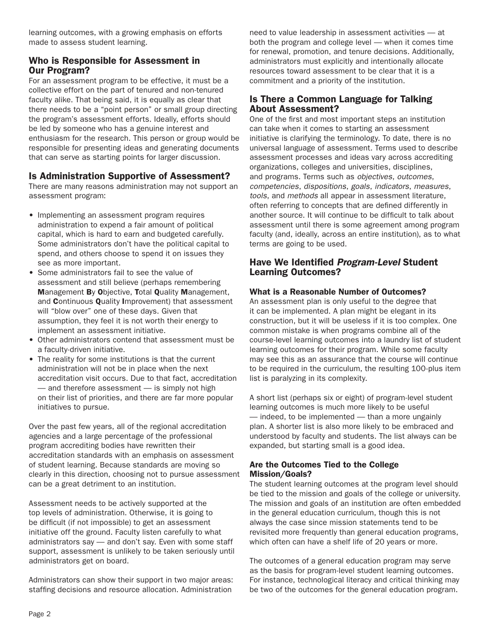learning outcomes, with a growing emphasis on efforts made to assess student learning.

# Who is Responsible for Assessment in Our Program?

For an assessment program to be effective, it must be a collective effort on the part of tenured and non-tenured faculty alike. That being said, it is equally as clear that there needs to be a "point person" or small group directing the program's assessment efforts. Ideally, efforts should be led by someone who has a genuine interest and enthusiasm for the research. This person or group would be responsible for presenting ideas and generating documents that can serve as starting points for larger discussion.

# Is Administration Supportive of Assessment?

There are many reasons administration may not support an assessment program:

- Implementing an assessment program requires administration to expend a fair amount of political capital, which is hard to earn and budgeted carefully. Some administrators don't have the political capital to spend, and others choose to spend it on issues they see as more important.
- Some administrators fail to see the value of assessment and still believe (perhaps remembering Management By Objective, Total Quality Management, and Continuous Quality Improvement) that assessment will "blow over" one of these days. Given that assumption, they feel it is not worth their energy to implement an assessment initiative.
- Other administrators contend that assessment must be a faculty-driven initiative.
- The reality for some institutions is that the current administration will not be in place when the next accreditation visit occurs. Due to that fact, accreditation — and therefore assessment — is simply not high on their list of priorities, and there are far more popular initiatives to pursue.

Over the past few years, all of the regional accreditation agencies and a large percentage of the professional program accrediting bodies have rewritten their accreditation standards with an emphasis on assessment of student learning. Because standards are moving so clearly in this direction, choosing not to pursue assessment can be a great detriment to an institution.

Assessment needs to be actively supported at the top levels of administration. Otherwise, it is going to be difficult (if not impossible) to get an assessment initiative off the ground. Faculty listen carefully to what administrators say — and don't say. Even with some staff support, assessment is unlikely to be taken seriously until administrators get on board.

Administrators can show their support in two major areas: staffing decisions and resource allocation. Administration

need to value leadership in assessment activities — at both the program and college level — when it comes time for renewal, promotion, and tenure decisions. Additionally, administrators must explicitly and intentionally allocate resources toward assessment to be clear that it is a commitment and a priority of the institution.

# Is There a Common Language for Talking About Assessment?

One of the first and most important steps an institution can take when it comes to starting an assessment initiative is clarifying the terminology. To date, there is no universal language of assessment. Terms used to describe assessment processes and ideas vary across accrediting organizations, colleges and universities, disciplines, and programs. Terms such as *objectives*, *outcomes*, *competencies*, *dispositions*, *goals*, *indicators*, *measures*, *tools*, and *methods* all appear in assessment literature, often referring to concepts that are defined differently in another source. It will continue to be difficult to talk about assessment until there is some agreement among program faculty (and, ideally, across an entire institution), as to what terms are going to be used.

### Have We Identified *Program-Level* Student Learning Outcomes?

### What is a Reasonable Number of Outcomes?

An assessment plan is only useful to the degree that it can be implemented. A plan might be elegant in its construction, but it will be useless if it is too complex. One common mistake is when programs combine all of the course-level learning outcomes into a laundry list of student learning outcomes for their program. While some faculty may see this as an assurance that the course will continue to be required in the curriculum, the resulting 100-plus item list is paralyzing in its complexity.

A short list (perhaps six or eight) of program-level student learning outcomes is much more likely to be useful — indeed, to be implemented — than a more ungainly plan. A shorter list is also more likely to be embraced and understood by faculty and students. The list always can be expanded, but starting small is a good idea.

### Are the Outcomes Tied to the College Mission/Goals?

The student learning outcomes at the program level should be tied to the mission and goals of the college or university. The mission and goals of an institution are often embedded in the general education curriculum, though this is not always the case since mission statements tend to be revisited more frequently than general education programs, which often can have a shelf life of 20 years or more.

The outcomes of a general education program may serve as the basis for program-level student learning outcomes. For instance, technological literacy and critical thinking may be two of the outcomes for the general education program.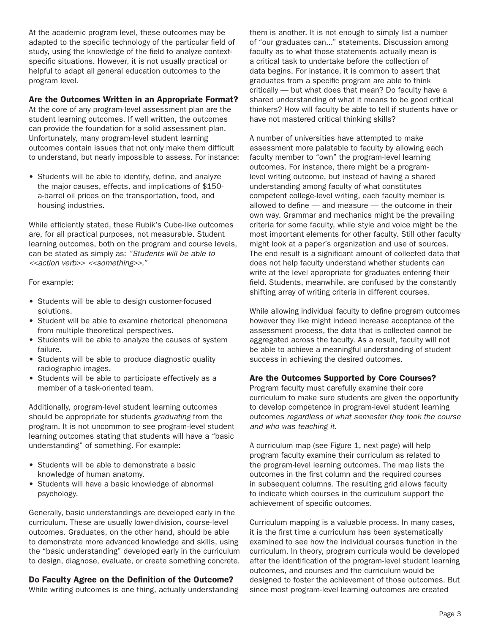At the academic program level, these outcomes may be adapted to the specific technology of the particular field of study, using the knowledge of the field to analyze contextspecific situations. However, it is not usually practical or helpful to adapt all general education outcomes to the program level.

#### Are the Outcomes Written in an Appropriate Format?

At the core of any program-level assessment plan are the student learning outcomes. If well written, the outcomes can provide the foundation for a solid assessment plan. Unfortunately, many program-level student learning outcomes contain issues that not only make them difficult to understand, but nearly impossible to assess. For instance:

• Students will be able to identify, define, and analyze the major causes, effects, and implications of \$150 a-barrel oil prices on the transportation, food, and housing industries.

While efficiently stated, these Rubik's Cube-like outcomes are, for all practical purposes, not measurable. Student learning outcomes, both on the program and course levels, can be stated as simply as: *"Students will be able to <<action verb>> <<something>>."*

#### For example:

- Students will be able to design customer-focused solutions.
- Student will be able to examine rhetorical phenomena from multiple theoretical perspectives.
- Students will be able to analyze the causes of system failure.
- Students will be able to produce diagnostic quality radiographic images.
- Students will be able to participate effectively as a member of a task-oriented team.

Additionally, program-level student learning outcomes should be appropriate for students *graduating* from the program. It is not uncommon to see program-level student learning outcomes stating that students will have a "basic understanding" of something. For example:

- Students will be able to demonstrate a basic knowledge of human anatomy.
- Students will have a basic knowledge of abnormal psychology.

Generally, basic understandings are developed early in the curriculum. These are usually lower-division, course-level outcomes. Graduates, on the other hand, should be able to demonstrate more advanced knowledge and skills, using the "basic understanding" developed early in the curriculum to design, diagnose, evaluate, or create something concrete.

### Do Faculty Agree on the Definition of the Outcome?

While writing outcomes is one thing, actually understanding

them is another. It is not enough to simply list a number of "our graduates can..." statements. Discussion among faculty as to what those statements actually mean is a critical task to undertake before the collection of data begins. For instance, it is common to assert that graduates from a specific program are able to think critically — but what does that mean? Do faculty have a shared understanding of what it means to be good critical thinkers? How will faculty be able to tell if students have or have not mastered critical thinking skills?

A number of universities have attempted to make assessment more palatable to faculty by allowing each faculty member to "own" the program-level learning outcomes. For instance, there might be a programlevel writing outcome, but instead of having a shared understanding among faculty of what constitutes competent college-level writing, each faculty member is allowed to define — and measure — the outcome in their own way. Grammar and mechanics might be the prevailing criteria for some faculty, while style and voice might be the most important elements for other faculty. Still other faculty might look at a paper's organization and use of sources. The end result is a significant amount of collected data that does not help faculty understand whether students can write at the level appropriate for graduates entering their field. Students, meanwhile, are confused by the constantly shifting array of writing criteria in different courses.

While allowing individual faculty to define program outcomes however they like might indeed increase acceptance of the assessment process, the data that is collected cannot be aggregated across the faculty. As a result, faculty will not be able to achieve a meaningful understanding of student success in achieving the desired outcomes.

### Are the Outcomes Supported by Core Courses?

Program faculty must carefully examine their core curriculum to make sure students are given the opportunity to develop competence in program-level student learning outcomes *regardless of what semester they took the course and who was teaching it*.

A curriculum map (see Figure 1, next page) will help program faculty examine their curriculum as related to the program-level learning outcomes. The map lists the outcomes in the first column and the required courses in subsequent columns. The resulting grid allows faculty to indicate which courses in the curriculum support the achievement of specific outcomes.

Curriculum mapping is a valuable process. In many cases, it is the first time a curriculum has been systematically examined to see how the individual courses function in the curriculum. In theory, program curricula would be developed after the identification of the program-level student learning outcomes, and courses and the curriculum would be designed to foster the achievement of those outcomes. But since most program-level learning outcomes are created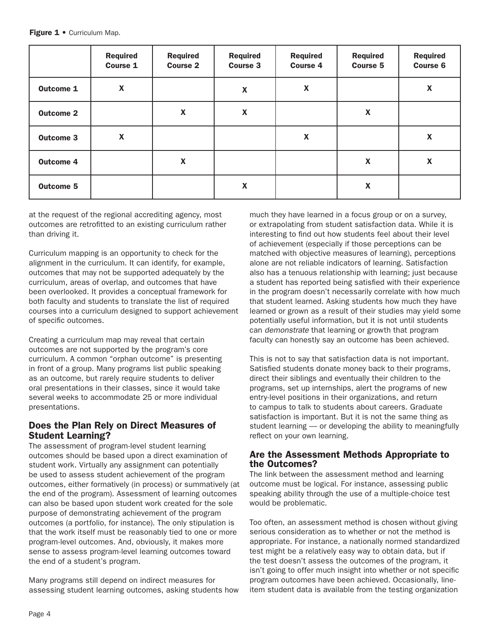|                  | <b>Required</b><br><b>Course 1</b> | <b>Required</b><br><b>Course 2</b> | <b>Required</b><br><b>Course 3</b> | <b>Required</b><br><b>Course 4</b> | <b>Required</b><br><b>Course 5</b> | <b>Required</b><br><b>Course 6</b> |
|------------------|------------------------------------|------------------------------------|------------------------------------|------------------------------------|------------------------------------|------------------------------------|
| <b>Outcome 1</b> | $\pmb{\mathsf{X}}$                 |                                    | $\boldsymbol{\mathsf{X}}$          | $\boldsymbol{\mathsf{X}}$          |                                    | $\boldsymbol{\mathsf{X}}$          |
| <b>Outcome 2</b> |                                    | $\boldsymbol{\mathsf{X}}$          | $\boldsymbol{\mathsf{X}}$          |                                    | $\boldsymbol{\mathsf{X}}$          |                                    |
| <b>Outcome 3</b> | $\boldsymbol{\mathsf{X}}$          |                                    |                                    | $\boldsymbol{\mathsf{X}}$          |                                    | $\boldsymbol{\mathsf{X}}$          |
| <b>Outcome 4</b> |                                    | $\pmb{\mathsf{X}}$                 |                                    |                                    | $\boldsymbol{\mathsf{X}}$          | X                                  |
| <b>Outcome 5</b> |                                    |                                    | $\boldsymbol{\mathsf{X}}$          |                                    | $\boldsymbol{\mathsf{X}}$          |                                    |

at the request of the regional accrediting agency, most outcomes are retrofitted to an existing curriculum rather than driving it.

Curriculum mapping is an opportunity to check for the alignment in the curriculum. It can identify, for example, outcomes that may not be supported adequately by the curriculum, areas of overlap, and outcomes that have been overlooked. It provides a conceptual framework for both faculty and students to translate the list of required courses into a curriculum designed to support achievement of specific outcomes.

Creating a curriculum map may reveal that certain outcomes are not supported by the program's core curriculum. A common "orphan outcome" is presenting in front of a group. Many programs list public speaking as an outcome, but rarely require students to deliver oral presentations in their classes, since it would take several weeks to accommodate 25 or more individual presentations.

### Does the Plan Rely on Direct Measures of Student Learning?

The assessment of program-level student learning outcomes should be based upon a direct examination of student work. Virtually any assignment can potentially be used to assess student achievement of the program outcomes, either formatively (in process) or summatively (at the end of the program). Assessment of learning outcomes can also be based upon student work created for the sole purpose of demonstrating achievement of the program outcomes (a portfolio, for instance). The only stipulation is that the work itself must be reasonably tied to one or more program-level outcomes. And, obviously, it makes more sense to assess program-level learning outcomes toward the end of a student's program.

Many programs still depend on indirect measures for assessing student learning outcomes, asking students how much they have learned in a focus group or on a survey, or extrapolating from student satisfaction data. While it is interesting to find out how students feel about their level of achievement (especially if those perceptions can be matched with objective measures of learning), perceptions alone are not reliable indicators of learning. Satisfaction also has a tenuous relationship with learning; just because a student has reported being satisfied with their experience in the program doesn't necessarily correlate with how much that student learned. Asking students how much they have learned or grown as a result of their studies may yield some potentially useful information, but it is not until students can *demonstrate* that learning or growth that program faculty can honestly say an outcome has been achieved.

This is not to say that satisfaction data is not important. Satisfied students donate money back to their programs, direct their siblings and eventually their children to the programs, set up internships, alert the programs of new entry-level positions in their organizations, and return to campus to talk to students about careers. Graduate satisfaction is important. But it is not the same thing as student learning — or developing the ability to meaningfully reflect on your own learning.

# Are the Assessment Methods Appropriate to the Outcomes?

The link between the assessment method and learning outcome must be logical. For instance, assessing public speaking ability through the use of a multiple-choice test would be problematic.

Too often, an assessment method is chosen without giving serious consideration as to whether or not the method is appropriate. For instance, a nationally normed standardized test might be a relatively easy way to obtain data, but if the test doesn't assess the outcomes of the program, it isn't going to offer much insight into whether or not specific program outcomes have been achieved. Occasionally, lineitem student data is available from the testing organization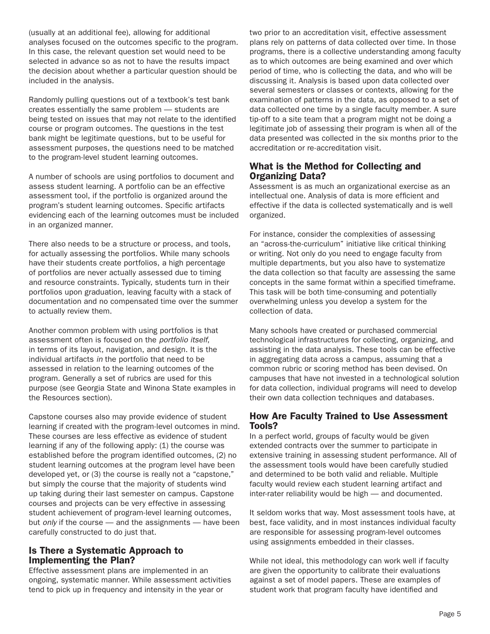(usually at an additional fee), allowing for additional analyses focused on the outcomes specific to the program. In this case, the relevant question set would need to be selected in advance so as not to have the results impact the decision about whether a particular question should be included in the analysis.

Randomly pulling questions out of a textbook's test bank creates essentially the same problem — students are being tested on issues that may not relate to the identified course or program outcomes. The questions in the test bank might be legitimate questions, but to be useful for assessment purposes, the questions need to be matched to the program-level student learning outcomes.

A number of schools are using portfolios to document and assess student learning. A portfolio can be an effective assessment tool, if the portfolio is organized around the program's student learning outcomes. Specific artifacts evidencing each of the learning outcomes must be included in an organized manner.

There also needs to be a structure or process, and tools, for actually assessing the portfolios. While many schools have their students create portfolios, a high percentage of portfolios are never actually assessed due to timing and resource constraints. Typically, students turn in their portfolios upon graduation, leaving faculty with a stack of documentation and no compensated time over the summer to actually review them.

Another common problem with using portfolios is that assessment often is focused on the *portfolio itself*, in terms of its layout, navigation, and design. It is the individual artifacts *in* the portfolio that need to be assessed in relation to the learning outcomes of the program. Generally a set of rubrics are used for this purpose (see Georgia State and Winona State examples in the Resources section).

Capstone courses also may provide evidence of student learning if created with the program-level outcomes in mind. These courses are less effective as evidence of student learning if any of the following apply: (1) the course was established before the program identified outcomes, (2) no student learning outcomes at the program level have been developed yet, or (3) the course is really not a "capstone," but simply the course that the majority of students wind up taking during their last semester on campus. Capstone courses and projects can be very effective in assessing student achievement of program-level learning outcomes, but *only* if the course — and the assignments — have been carefully constructed to do just that.

### Is There a Systematic Approach to Implementing the Plan?

Effective assessment plans are implemented in an ongoing, systematic manner. While assessment activities tend to pick up in frequency and intensity in the year or

two prior to an accreditation visit, effective assessment plans rely on patterns of data collected over time. In those programs, there is a collective understanding among faculty as to which outcomes are being examined and over which period of time, who is collecting the data, and who will be discussing it. Analysis is based upon data collected over several semesters or classes or contexts, allowing for the examination of patterns in the data, as opposed to a set of data collected one time by a single faculty member. A sure tip-off to a site team that a program might not be doing a legitimate job of assessing their program is when all of the data presented was collected in the six months prior to the accreditation or re-accreditation visit.

# What is the Method for Collecting and Organizing Data?

Assessment is as much an organizational exercise as an intellectual one. Analysis of data is more efficient and effective if the data is collected systematically and is well organized.

For instance, consider the complexities of assessing an "across-the-curriculum" initiative like critical thinking or writing. Not only do you need to engage faculty from multiple departments, but you also have to systematize the data collection so that faculty are assessing the same concepts in the same format within a specified timeframe. This task will be both time-consuming and potentially overwhelming unless you develop a system for the collection of data.

Many schools have created or purchased commercial technological infrastructures for collecting, organizing, and assisting in the data analysis. These tools can be effective in aggregating data across a campus, assuming that a common rubric or scoring method has been devised. On campuses that have not invested in a technological solution for data collection, individual programs will need to develop their own data collection techniques and databases.

# How Are Faculty Trained to Use Assessment Tools?

In a perfect world, groups of faculty would be given extended contracts over the summer to participate in extensive training in assessing student performance. All of the assessment tools would have been carefully studied and determined to be both valid and reliable. Multiple faculty would review each student learning artifact and inter-rater reliability would be high — and documented.

It seldom works that way. Most assessment tools have, at best, face validity, and in most instances individual faculty are responsible for assessing program-level outcomes using assignments embedded in their classes.

While not ideal, this methodology can work well if faculty are given the opportunity to calibrate their evaluations against a set of model papers. These are examples of student work that program faculty have identified and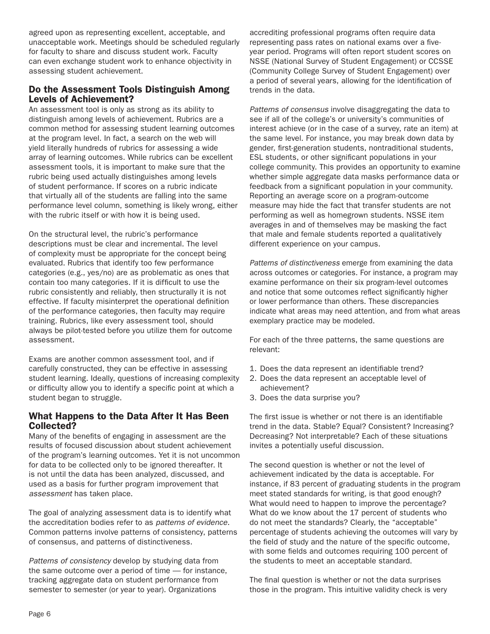agreed upon as representing excellent, acceptable, and unacceptable work. Meetings should be scheduled regularly for faculty to share and discuss student work. Faculty can even exchange student work to enhance objectivity in assessing student achievement.

# Do the Assessment Tools Distinguish Among Levels of Achievement?

An assessment tool is only as strong as its ability to distinguish among levels of achievement. Rubrics are a common method for assessing student learning outcomes at the program level. In fact, a search on the web will yield literally hundreds of rubrics for assessing a wide array of learning outcomes. While rubrics can be excellent assessment tools, it is important to make sure that the rubric being used actually distinguishes among levels of student performance. If scores on a rubric indicate that virtually all of the students are falling into the same performance level column, something is likely wrong, either with the rubric itself or with how it is being used.

On the structural level, the rubric's performance descriptions must be clear and incremental. The level of complexity must be appropriate for the concept being evaluated. Rubrics that identify too few performance categories (e.g., yes/no) are as problematic as ones that contain too many categories. If it is difficult to use the rubric consistently and reliably, then structurally it is not effective. If faculty misinterpret the operational definition of the performance categories, then faculty may require training. Rubrics, like every assessment tool, should always be pilot-tested before you utilize them for outcome assessment.

Exams are another common assessment tool, and if carefully constructed, they can be effective in assessing student learning. Ideally, questions of increasing complexity or difficulty allow you to identify a specific point at which a student began to struggle.

# What Happens to the Data After It Has Been Collected?

Many of the benefits of engaging in assessment are the results of focused discussion about student achievement of the program's learning outcomes. Yet it is not uncommon for data to be collected only to be ignored thereafter. It is not until the data has been analyzed, discussed, and used as a basis for further program improvement that *assessment* has taken place.

The goal of analyzing assessment data is to identify what the accreditation bodies refer to as *patterns of evidence*. Common patterns involve patterns of consistency, patterns of consensus, and patterns of distinctiveness.

*Patterns of consistency* develop by studying data from the same outcome over a period of time — for instance, tracking aggregate data on student performance from semester to semester (or year to year). Organizations

accrediting professional programs often require data representing pass rates on national exams over a fiveyear period. Programs will often report student scores on NSSE (National Survey of Student Engagement) or CCSSE (Community College Survey of Student Engagement) over a period of several years, allowing for the identification of trends in the data.

*Patterns of consensus* involve disaggregating the data to see if all of the college's or university's communities of interest achieve (or in the case of a survey, rate an item) at the same level. For instance, you may break down data by gender, first-generation students, nontraditional students, ESL students, or other significant populations in your college community. This provides an opportunity to examine whether simple aggregate data masks performance data or feedback from a significant population in your community. Reporting an average score on a program-outcome measure may hide the fact that transfer students are not performing as well as homegrown students. NSSE item averages in and of themselves may be masking the fact that male and female students reported a qualitatively different experience on your campus.

*Patterns of distinctiveness* emerge from examining the data across outcomes or categories. For instance, a program may examine performance on their six program-level outcomes and notice that some outcomes reflect significantly higher or lower performance than others. These discrepancies indicate what areas may need attention, and from what areas exemplary practice may be modeled.

For each of the three patterns, the same questions are relevant:

- 1. Does the data represent an identifiable trend?
- 2. Does the data represent an acceptable level of achievement?
- 3. Does the data surprise you?

The first issue is whether or not there is an identifiable trend in the data. Stable? Equal? Consistent? Increasing? Decreasing? Not interpretable? Each of these situations invites a potentially useful discussion.

The second question is whether or not the level of achievement indicated by the data is acceptable. For instance, if 83 percent of graduating students in the program meet stated standards for writing, is that good enough? What would need to happen to improve the percentage? What do we know about the 17 percent of students who do not meet the standards? Clearly, the "acceptable" percentage of students achieving the outcomes will vary by the field of study and the nature of the specific outcome, with some fields and outcomes requiring 100 percent of the students to meet an acceptable standard.

The final question is whether or not the data surprises those in the program. This intuitive validity check is very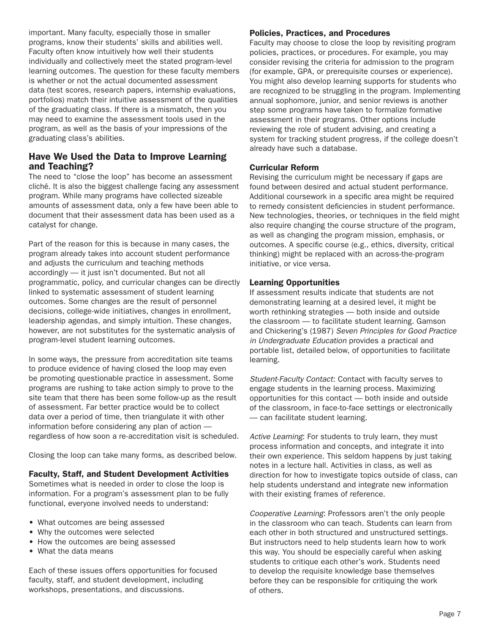important. Many faculty, especially those in smaller programs, know their students' skills and abilities well. Faculty often know intuitively how well their students individually and collectively meet the stated program-level learning outcomes. The question for these faculty members is whether or not the actual documented assessment data (test scores, research papers, internship evaluations, portfolios) match their intuitive assessment of the qualities of the graduating class. If there is a mismatch, then you may need to examine the assessment tools used in the program, as well as the basis of your impressions of the graduating class's abilities.

# Have We Used the Data to Improve Learning and Teaching?

The need to "close the loop" has become an assessment cliché. It is also the biggest challenge facing any assessment program. While many programs have collected sizeable amounts of assessment data, only a few have been able to document that their assessment data has been used as a catalyst for change.

Part of the reason for this is because in many cases, the program already takes into account student performance and adjusts the curriculum and teaching methods accordingly — it just isn't documented. But not all programmatic, policy, and curricular changes can be directly linked to systematic assessment of student learning outcomes. Some changes are the result of personnel decisions, college-wide initiatives, changes in enrollment, leadership agendas, and simply intuition. These changes, however, are not substitutes for the systematic analysis of program-level student learning outcomes.

In some ways, the pressure from accreditation site teams to produce evidence of having closed the loop may even be promoting questionable practice in assessment. Some programs are rushing to take action simply to prove to the site team that there has been some follow-up as the result of assessment. Far better practice would be to collect data over a period of time, then triangulate it with other information before considering any plan of action regardless of how soon a re-accreditation visit is scheduled.

Closing the loop can take many forms, as described below.

### Faculty, Staff, and Student Development Activities

Sometimes what is needed in order to close the loop is information. For a program's assessment plan to be fully functional, everyone involved needs to understand:

- What outcomes are being assessed
- Why the outcomes were selected
- How the outcomes are being assessed
- What the data means

Each of these issues offers opportunities for focused faculty, staff, and student development, including workshops, presentations, and discussions.

### Policies, Practices, and Procedures

Faculty may choose to close the loop by revisiting program policies, practices, or procedures. For example, you may consider revising the criteria for admission to the program (for example, GPA, or prerequisite courses or experience). You might also develop learning supports for students who are recognized to be struggling in the program. Implementing annual sophomore, junior, and senior reviews is another step some programs have taken to formalize formative assessment in their programs. Other options include reviewing the role of student advising, and creating a system for tracking student progress, if the college doesn't already have such a database.

### Curricular Reform

Revising the curriculum might be necessary if gaps are found between desired and actual student performance. Additional coursework in a specific area might be required to remedy consistent deficiencies in student performance. New technologies, theories, or techniques in the field might also require changing the course structure of the program, as well as changing the program mission, emphasis, or outcomes. A specific course (e.g., ethics, diversity, critical thinking) might be replaced with an across-the-program initiative, or vice versa.

### Learning Opportunities

If assessment results indicate that students are not demonstrating learning at a desired level, it might be worth rethinking strategies — both inside and outside the classroom — to facilitate student learning. Gamson and Chickering's (1987) *Seven Principles for Good Practice in Undergraduate Education* provides a practical and portable list, detailed below, of opportunities to facilitate learning.

*Student-Faculty Contact*: Contact with faculty serves to engage students in the learning process. Maximizing opportunities for this contact — both inside and outside of the classroom, in face-to-face settings or electronically — can facilitate student learning.

*Active Learning*: For students to truly learn, they must process information and concepts, and integrate it into their own experience. This seldom happens by just taking notes in a lecture hall. Activities in class, as well as direction for how to investigate topics outside of class, can help students understand and integrate new information with their existing frames of reference.

*Cooperative Learning*: Professors aren't the only people in the classroom who can teach. Students can learn from each other in both structured and unstructured settings. But instructors need to help students learn how to work this way. You should be especially careful when asking students to critique each other's work. Students need to develop the requisite knowledge base themselves before they can be responsible for critiquing the work of others.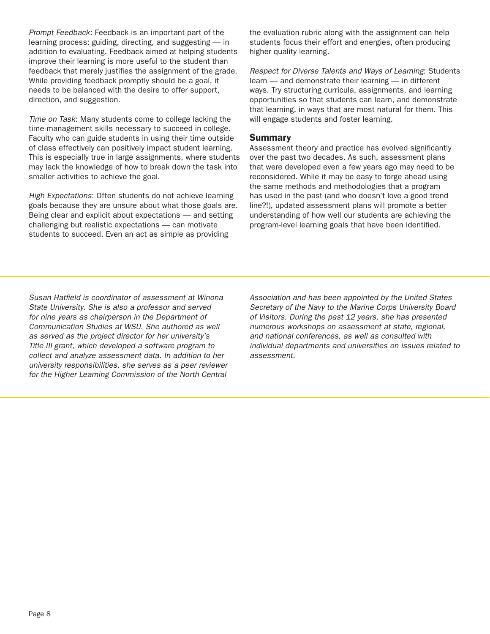*Prompt Feedback*: Feedback is an important part of the learning process: guiding, directing, and suggesting — in addition to evaluating. Feedback aimed at helping students improve their learning is more useful to the student than feedback that merely justifies the assignment of the grade. While providing feedback promptly should be a goal, it needs to be balanced with the desire to offer support, direction, and suggestion.

*Time on Task*: Many students come to college lacking the time-management skills necessary to succeed in college. Faculty who can guide students in using their time outside of class effectively can positively impact student learning. This is especially true in large assignments, where students may lack the knowledge of how to break down the task into smaller activities to achieve the goal.

*High Expectations*: Often students do not achieve learning goals because they are unsure about what those goals are. Being clear and explicit about expectations — and setting challenging but realistic expectations — can motivate students to succeed. Even an act as simple as providing

the evaluation rubric along with the assignment can help students focus their effort and energies, often producing higher quality learning.

*Respect for Diverse Talents and Ways of Learning*: Students learn — and demonstrate their learning — in different ways. Try structuring curricula, assignments, and learning opportunities so that students can learn, and demonstrate that learning, in ways that are most natural for them. This will engage students and foster learning.

### Summary

Assessment theory and practice has evolved significantly over the past two decades. As such, assessment plans that were developed even a few years ago may need to be reconsidered. While it may be easy to forge ahead using the same methods and methodologies that a program has used in the past (and who doesn't love a good trend line?!), updated assessment plans will promote a better understanding of how well our students are achieving the program-level learning goals that have been identified.

*Susan Hatfield is coordinator of assessment at Winona State University. She is also a professor and served for nine years as chairperson in the Department of Communication Studies at WSU. She authored as well as served as the project director for her university's Title III grant, which developed a software program to collect and analyze assessment data. In addition to her university responsibilities, she serves as a peer reviewer for the Higher Learning Commission of the North Central* 

*Association and has been appointed by the United States Secretary of the Navy to the Marine Corps University Board of Visitors. During the past 12 years, she has presented numerous workshops on assessment at state, regional, and national conferences, as well as consulted with individual departments and universities on issues related to assessment.*